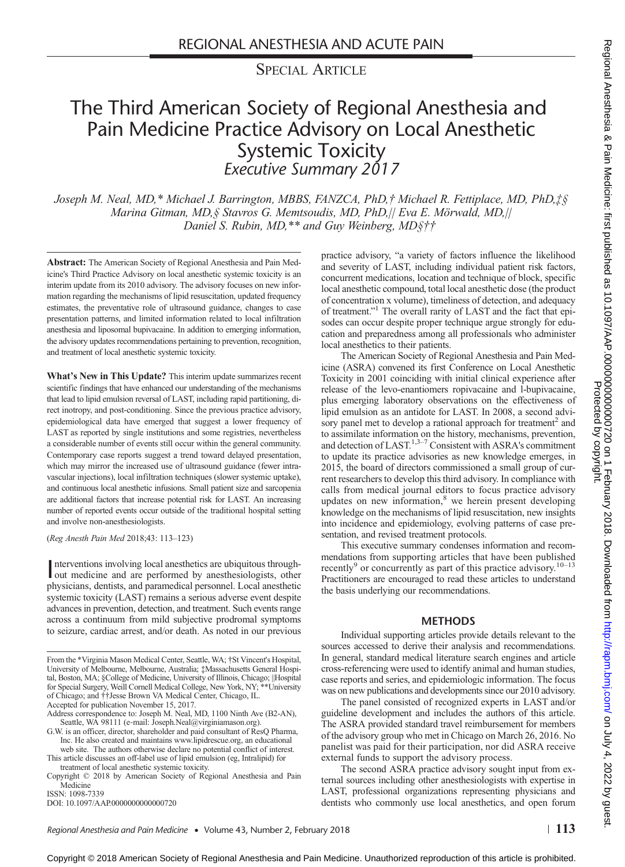SPECIAL ARTICLE

# The Third American Society of Regional Anesthesia and Pain Medicine Practice Advisory on Local Anesthetic Systemic Toxicity Executive Summary 2017

Joseph M. Neal, MD,\* Michael J. Barrington, MBBS, FANZCA, PhD,† Michael R. Fettiplace, MD, PhD,‡§ Marina Gitman, MD,§ Stavros G. Memtsoudis, MD, PhD,|| Eva E. Mörwald, MD,|| Daniel S. Rubin, MD,\*\* and Guy Weinberg, MD§††

Abstract: The American Society of Regional Anesthesia and Pain Medicine's Third Practice Advisory on local anesthetic systemic toxicity is an interim update from its 2010 advisory. The advisory focuses on new information regarding the mechanisms of lipid resuscitation, updated frequency estimates, the preventative role of ultrasound guidance, changes to case presentation patterns, and limited information related to local infiltration anesthesia and liposomal bupivacaine. In addition to emerging information, the advisory updates recommendations pertaining to prevention, recognition, and treatment of local anesthetic systemic toxicity.

What's New in This Update? This interim update summarizes recent scientific findings that have enhanced our understanding of the mechanisms that lead to lipid emulsion reversal of LAST, including rapid partitioning, direct inotropy, and post-conditioning. Since the previous practice advisory, epidemiological data have emerged that suggest a lower frequency of LAST as reported by single institutions and some registries, nevertheless a considerable number of events still occur within the general community. Contemporary case reports suggest a trend toward delayed presentation, which may mirror the increased use of ultrasound guidance (fewer intravascular injections), local infiltration techniques (slower systemic uptake), and continuous local anesthetic infusions. Small patient size and sarcopenia are additional factors that increase potential risk for LAST. An increasing number of reported events occur outside of the traditional hospital setting and involve non-anesthesiologists.

(Reg Anesth Pain Med 2018;43: 113–123)

Interventions involving local anesthetics are ubiquitous through-<br>out medicine and are performed by anesthesiologists, other out medicine and are performed by anesthesiologists, other physicians, dentists, and paramedical personnel. Local anesthetic systemic toxicity (LAST) remains a serious adverse event despite advances in prevention, detection, and treatment. Such events range across a continuum from mild subjective prodromal symptoms to seizure, cardiac arrest, and/or death. As noted in our previous

ISSN: 1098-7339

DOI: 10.1097/AAP.0000000000000720

practice advisory, "a variety of factors influence the likelihood and severity of LAST, including individual patient risk factors, concurrent medications, location and technique of block, specific local anesthetic compound, total local anesthetic dose (the product of concentration x volume), timeliness of detection, and adequacy of treatment."<sup>1</sup> The overall rarity of LAST and the fact that episodes can occur despite proper technique argue strongly for education and preparedness among all professionals who administer local anesthetics to their patients.

The American Society of Regional Anesthesia and Pain Medicine (ASRA) convened its first Conference on Local Anesthetic Toxicity in 2001 coinciding with initial clinical experience after release of the levo-enantiomers ropivacaine and l-bupivacaine, plus emerging laboratory observations on the effectiveness of lipid emulsion as an antidote for LAST. In 2008, a second advisory panel met to develop a rational approach for treatment<sup>2</sup> and to assimilate information on the history, mechanisms, prevention, and detection of LAST.<sup>1,3–7</sup> Consistent with ASRA's commitment to update its practice advisories as new knowledge emerges, in 2015, the board of directors commissioned a small group of current researchers to develop this third advisory. In compliance with calls from medical journal editors to focus practice advisory updates on new information, $8$  we herein present developing knowledge on the mechanisms of lipid resuscitation, new insights into incidence and epidemiology, evolving patterns of case presentation, and revised treatment protocols.

This executive summary condenses information and recommendations from supporting articles that have been published recently<sup>9</sup> or concurrently as part of this practice advisory.<sup>10-13</sup> Practitioners are encouraged to read these articles to understand the basis underlying our recommendations.

# **METHODS**

Individual supporting articles provide details relevant to the sources accessed to derive their analysis and recommendations. In general, standard medical literature search engines and article cross-referencing were used to identify animal and human studies, case reports and series, and epidemiologic information. The focus was on new publications and developments since our 2010 advisory.

The panel consisted of recognized experts in LAST and/or guideline development and includes the authors of this article. The ASRA provided standard travel reimbursement for members of the advisory group who met in Chicago on March 26, 2016. No panelist was paid for their participation, nor did ASRA receive external funds to support the advisory process.

The second ASRA practice advisory sought input from external sources including other anesthesiologists with expertise in LAST, professional organizations representing physicians and dentists who commonly use local anesthetics, and open forum

Copyright © 2018 American Society of Regional Anesthesia and Pain Medicine. Unauthorized reproduction of this article is prohibited.

From the \*Virginia Mason Medical Center, Seattle, WA; †St Vincent's Hospital, University of Melbourne, Melbourne, Australia; ‡Massachusetts General Hospital, Boston, MA; §College of Medicine, University of Illinois, Chicago; ||Hospital for Special Surgery, Weill Cornell Medical College, New York, NY; \*\*University of Chicago; and ††Jesse Brown VA Medical Center, Chicago, IL. Accepted for publication November 15, 2017.

Address correspondence to: Joseph M. Neal, MD, 1100 Ninth Ave (B2-AN), Seattle, WA 98111 (e-mail: [Joseph.Neal@virginiamason.org](mailto:Joseph.Neal@virginiamason.org)).

G.W. is an officer, director, shareholder and paid consultant of ResQ Pharma, Inc. He also created and maintains [www.lipidrescue.org](http://www.lipidrescue.org), an educational web site. The authors otherwise declare no potential conflict of interest.

This article discusses an off-label use of lipid emulsion (eg, Intralipid) for treatment of local anesthetic systemic toxicity.

Copyright © 2018 by American Society of Regional Anesthesia and Pain Medicine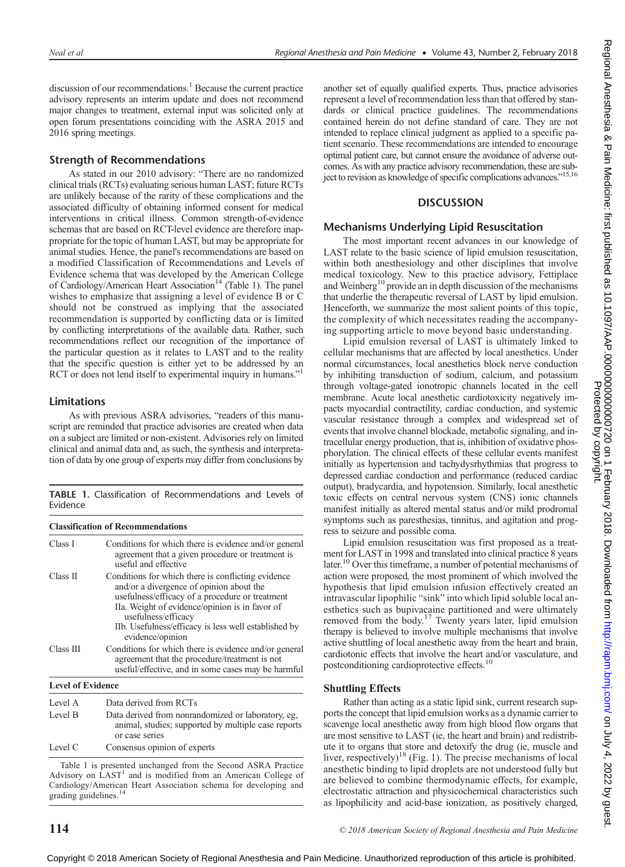discussion of our recommendations.<sup>1</sup> Because the current practice advisory represents an interim update and does not recommend major changes to treatment, external input was solicited only at open forum presentations coinciding with the ASRA 2015 and 2016 spring meetings.

# Strength of Recommendations

As stated in our 2010 advisory: "There are no randomized clinical trials (RCTs) evaluating serious human LAST; future RCTs are unlikely because of the rarity of these complications and the associated difficulty of obtaining informed consent for medical interventions in critical illness. Common strength-of-evidence schemas that are based on RCT-level evidence are therefore inappropriate for the topic of human LAST, but may be appropriate for animal studies. Hence, the panel's recommendations are based on a modified Classification of Recommendations and Levels of Evidence schema that was developed by the American College of Cardiology/American Heart Association<sup>14</sup> (Table 1). The panel wishes to emphasize that assigning a level of evidence B or C should not be construed as implying that the associated recommendation is supported by conflicting data or is limited by conflicting interpretations of the available data. Rather, such recommendations reflect our recognition of the importance of the particular question as it relates to LAST and to the reality that the specific question is either yet to be addressed by an RCT or does not lend itself to experimental inquiry in humans."<sup>1</sup>

# Limitations

As with previous ASRA advisories, "readers of this manuscript are reminded that practice advisories are created when data on a subject are limited or non-existent. Advisories rely on limited clinical and animal data and, as such, the synthesis and interpretation of data by one group of experts may differ from conclusions by

|          |  | <b>TABLE 1.</b> Classification of Recommendations and Levels of |  |  |
|----------|--|-----------------------------------------------------------------|--|--|
| Evidence |  |                                                                 |  |  |

| <b>Classification of Recommendations</b> |                                                                                                                                                                                                                                                                                                        |  |  |  |
|------------------------------------------|--------------------------------------------------------------------------------------------------------------------------------------------------------------------------------------------------------------------------------------------------------------------------------------------------------|--|--|--|
| Class I                                  | Conditions for which there is evidence and/or general<br>agreement that a given procedure or treatment is<br>useful and effective                                                                                                                                                                      |  |  |  |
| Class II                                 | Conditions for which there is conflicting evidence<br>and/or a divergence of opinion about the<br>usefulness/efficacy of a procedure or treatment<br>IIa. Weight of evidence/opinion is in favor of<br>usefulness/efficacy<br>IIb. Usefulness/efficacy is less well established by<br>evidence/opinion |  |  |  |
| Class III                                | Conditions for which there is evidence and/or general<br>agreement that the procedure/treatment is not<br>useful/effective, and in some cases may be harmful                                                                                                                                           |  |  |  |
| <b>Level of Evidence</b>                 |                                                                                                                                                                                                                                                                                                        |  |  |  |
| Level A                                  | Data derived from RCTs                                                                                                                                                                                                                                                                                 |  |  |  |
| Level B                                  | Data derived from nonrandomized or laboratory, eg,<br>animal, studies; supported by multiple case reports<br>or case series                                                                                                                                                                            |  |  |  |
| Level C                                  | Consensus opinion of experts                                                                                                                                                                                                                                                                           |  |  |  |

Table 1 is presented unchanged from the Second ASRA Practice Advisory on  $\text{LAST}^1$  and is modified from an American College of Cardiology/American Heart Association schema for developing and grading guidelines.<sup>14</sup>

another set of equally qualified experts. Thus, practice advisories represent a level of recommendation less than that offered by standards or clinical practice guidelines. The recommendations contained herein do not define standard of care. They are not intended to replace clinical judgment as applied to a specific patient scenario. These recommendations are intended to encourage optimal patient care, but cannot ensure the avoidance of adverse outcomes. As with any practice advisory recommendation, these are subject to revision as knowledge of specific complications advances." 15,16

# **DISCUSSION**

# Mechanisms Underlying Lipid Resuscitation

The most important recent advances in our knowledge of LAST relate to the basic science of lipid emulsion resuscitation, within both anesthesiology and other disciplines that involve medical toxicology. New to this practice advisory, Fettiplace and Weinberg<sup>10</sup> provide an in depth discussion of the mechanisms that underlie the therapeutic reversal of LAST by lipid emulsion. Henceforth, we summarize the most salient points of this topic, the complexity of which necessitates reading the accompanying supporting article to move beyond basic understanding.

Lipid emulsion reversal of LAST is ultimately linked to cellular mechanisms that are affected by local anesthetics. Under normal circumstances, local anesthetics block nerve conduction by inhibiting transduction of sodium, calcium, and potassium through voltage-gated ionotropic channels located in the cell membrane. Acute local anesthetic cardiotoxicity negatively impacts myocardial contractility, cardiac conduction, and systemic vascular resistance through a complex and widespread set of events that involve channel blockade, metabolic signaling, and intracellular energy production, that is, inhibition of oxidative phosphorylation. The clinical effects of these cellular events manifest initially as hypertension and tachydysrhythmias that progress to depressed cardiac conduction and performance (reduced cardiac output), bradycardia, and hypotension. Similarly, local anesthetic toxic effects on central nervous system (CNS) ionic channels manifest initially as altered mental status and/or mild prodromal symptoms such as paresthesias, tinnitus, and agitation and progress to seizure and possible coma.

Lipid emulsion resuscitation was first proposed as a treatment for LAST in 1998 and translated into clinical practice 8 years later.10 Over this timeframe, a number of potential mechanisms of action were proposed, the most prominent of which involved the hypothesis that lipid emulsion infusion effectively created an intravascular lipophilic "sink" into which lipid soluble local anesthetics such as bupivacaine partitioned and were ultimately removed from the body.<sup>17</sup> Twenty years later, lipid emulsion therapy is believed to involve multiple mechanisms that involve active shuttling of local anesthetic away from the heart and brain, cardiotonic effects that involve the heart and/or vasculature, and postconditioning cardioprotective effects.<sup>10</sup>

### Shuttling Effects

Rather than acting as a static lipid sink, current research supports the concept that lipid emulsion works as a dynamic carrier to scavenge local anesthetic away from high blood flow organs that are most sensitive to LAST (ie, the heart and brain) and redistribute it to organs that store and detoxify the drug (ie, muscle and liver, respectively)<sup>18</sup> (Fig. 1). The precise mechanisms of local anesthetic binding to lipid droplets are not understood fully but are believed to combine thermodynamic effects, for example, electrostatic attraction and physicochemical characteristics such as lipophilicity and acid-base ionization, as positively charged,

Copyright © 2018 American Society of Regional Anesthesia and Pain Medicine. Unauthorized reproduction of this article is prohibited.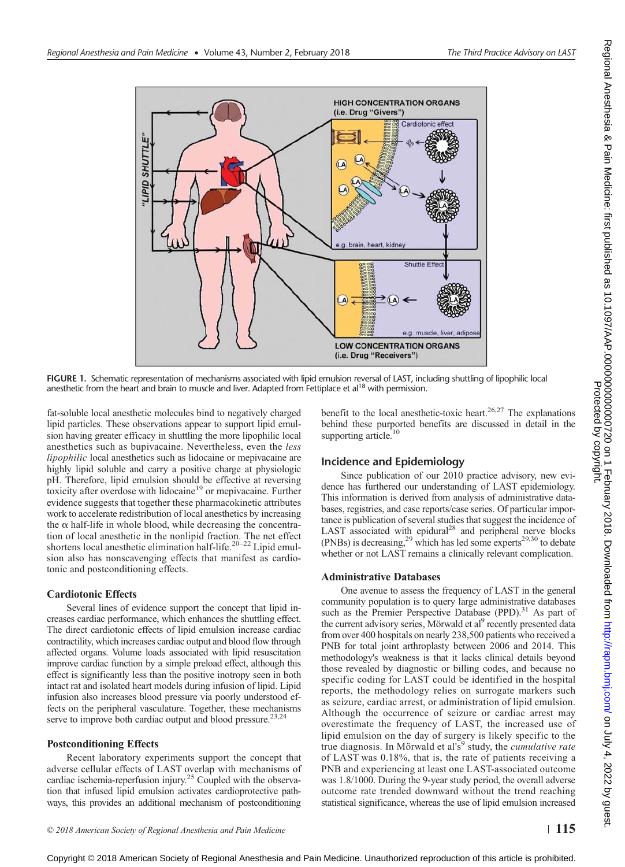

FIGURE 1. Schematic representation of mechanisms associated with lipid emulsion reversal of LAST, including shuttling of lipophilic local anesthetic from the heart and brain to muscle and liver. Adapted from Fettiplace et al<sup>18</sup> with permission.

fat-soluble local anesthetic molecules bind to negatively charged lipid particles. These observations appear to support lipid emulsion having greater efficacy in shuttling the more lipophilic local anesthetics such as bupivacaine. Nevertheless, even the *less* lipophilic local anesthetics such as lidocaine or mepivacaine are highly lipid soluble and carry a positive charge at physiologic pH. Therefore, lipid emulsion should be effective at reversing toxicity after overdose with lidocaine<sup>19</sup> or mepivacaine. Further evidence suggests that together these pharmacokinetic attributes work to accelerate redistribution of local anesthetics by increasing the  $\alpha$  half-life in whole blood, while decreasing the concentration of local anesthetic in the nonlipid fraction. The net effect shortens local anesthetic elimination half-life.<sup>20–22</sup> Lipid emulsion also has nonscavenging effects that manifest as cardiotonic and postconditioning effects.

# Cardiotonic Effects

Several lines of evidence support the concept that lipid increases cardiac performance, which enhances the shuttling effect. The direct cardiotonic effects of lipid emulsion increase cardiac contractility, which increases cardiac output and blood flow through affected organs. Volume loads associated with lipid resuscitation improve cardiac function by a simple preload effect, although this effect is significantly less than the positive inotropy seen in both intact rat and isolated heart models during infusion of lipid. Lipid infusion also increases blood pressure via poorly understood effects on the peripheral vasculature. Together, these mechanisms serve to improve both cardiac output and blood pressure.<sup>23,24</sup>

#### Postconditioning Effects

Recent laboratory experiments support the concept that adverse cellular effects of LAST overlap with mechanisms of cardiac ischemia-reperfusion injury.<sup>25</sup> Coupled with the observation that infused lipid emulsion activates cardioprotective pathways, this provides an additional mechanism of postconditioning benefit to the local anesthetic-toxic heart.<sup>26,27</sup> The explanations behind these purported benefits are discussed in detail in the supporting article.<sup>10</sup>

# Incidence and Epidemiology

Since publication of our 2010 practice advisory, new evidence has furthered our understanding of LAST epidemiology. This information is derived from analysis of administrative databases, registries, and case reports/case series. Of particular importance is publication of several studies that suggest the incidence of LAST associated with epidural<sup>28</sup> and peripheral nerve blocks (PNBs) is decreasing,<sup>29</sup> which has led some experts<sup>29,30</sup> to debate whether or not LAST remains a clinically relevant complication.

#### Administrative Databases

One avenue to assess the frequency of LAST in the general community population is to query large administrative databases such as the Premier Perspective Database  $(PPD)$ .<sup>31</sup> As part of the current advisory series, Mörwald et al<sup>9</sup> recently presented data from over 400 hospitals on nearly 238,500 patients who received a PNB for total joint arthroplasty between 2006 and 2014. This methodology's weakness is that it lacks clinical details beyond those revealed by diagnostic or billing codes, and because no specific coding for LAST could be identified in the hospital reports, the methodology relies on surrogate markers such as seizure, cardiac arrest, or administration of lipid emulsion. Although the occurrence of seizure or cardiac arrest may overestimate the frequency of LAST, the increased use of lipid emulsion on the day of surgery is likely specific to the true diagnosis. In Mörwald et al's<sup>9</sup> study, the *cumulative rate* of LAST was 0.18%, that is, the rate of patients receiving a PNB and experiencing at least one LAST-associated outcome was 1.8/1000. During the 9-year study period, the overall adverse outcome rate trended downward without the trend reaching statistical significance, whereas the use of lipid emulsion increased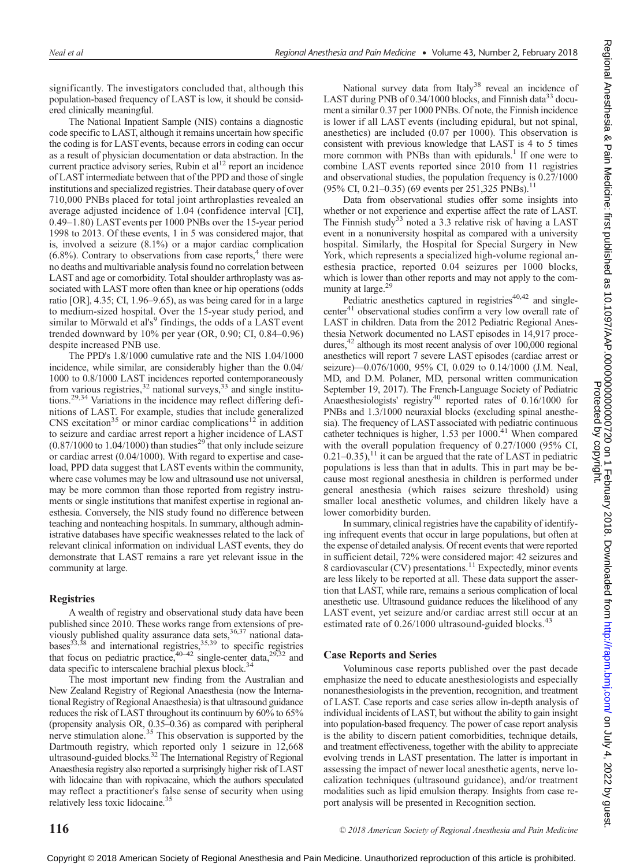significantly. The investigators concluded that, although this population-based frequency of LAST is low, it should be considered clinically meaningful.

The National Inpatient Sample (NIS) contains a diagnostic code specific to LAST, although it remains uncertain how specific the coding is for LAST events, because errors in coding can occur as a result of physician documentation or data abstraction. In the current practice advisory series, Rubin et al<sup>12</sup> report an incidence of LAST intermediate between that of the PPD and those of single institutions and specialized registries. Their database query of over 710,000 PNBs placed for total joint arthroplasties revealed an average adjusted incidence of 1.04 (confidence interval [CI], 0.49–1.80) LAST events per 1000 PNBs over the 15-year period 1998 to 2013. Of these events, 1 in 5 was considered major, that is, involved a seizure (8.1%) or a major cardiac complication  $(6.8\%)$ . Contrary to observations from case reports,<sup>4</sup> there were no deaths and multivariable analysis found no correlation between LAST and age or comorbidity. Total shoulder arthroplasty was associated with LAST more often than knee or hip operations (odds ratio [OR], 4.35; CI, 1.96–9.65), as was being cared for in a large to medium-sized hospital. Over the 15-year study period, and similar to Mörwald et al's<sup>9</sup> findings, the odds of a LAST event trended downward by 10% per year (OR, 0.90; CI, 0.84–0.96) despite increased PNB use.

The PPD's 1.8/1000 cumulative rate and the NIS 1.04/1000 incidence, while similar, are considerably higher than the 0.04/ 1000 to 0.8/1000 LAST incidences reported contemporaneously from various registries,  $32$  national surveys,  $33$  and single institutions.29,34 Variations in the incidence may reflect differing definitions of LAST. For example, studies that include generalized CNS excitation<sup>35</sup> or minor cardiac complications<sup>12</sup> in addition to seizure and cardiac arrest report a higher incidence of LAST  $(0.87/1000$  to 1.04/1000) than studies<sup>29</sup> that only include seizure or cardiac arrest (0.04/1000). With regard to expertise and caseload, PPD data suggest that LAST events within the community, where case volumes may be low and ultrasound use not universal, may be more common than those reported from registry instruments or single institutions that manifest expertise in regional anesthesia. Conversely, the NIS study found no difference between teaching and nonteaching hospitals. In summary, although administrative databases have specific weaknesses related to the lack of relevant clinical information on individual LAST events, they do demonstrate that LAST remains a rare yet relevant issue in the community at large.

#### Registries

A wealth of registry and observational study data have been published since 2010. These works range from extensions of previously published quality assurance data sets,  $36,37$  national databases<sup>33,58</sup> and international registries,<sup>35,39</sup> to specific registries that focus on pediatric practice,  $40-42$  single-center data,  $29,32$  and data specific to interscalene brachial plexus block.<sup>34</sup>

The most important new finding from the Australian and New Zealand Registry of Regional Anaesthesia (now the International Registry of Regional Anaesthesia) is that ultrasound guidance reduces the risk of LAST throughout its continuum by 60% to 65% (propensity analysis OR, 0.35–0.36) as compared with peripheral nerve stimulation alone.<sup>35</sup> This observation is supported by the Dartmouth registry, which reported only 1 seizure in 12,668 ultrasound-guided blocks.<sup>32</sup> The International Registry of Regional Anaesthesia registry also reported a surprisingly higher risk of LAST with lidocaine than with ropivacaine, which the authors speculated may reflect a practitioner's false sense of security when using relatively less toxic lidocaine.<sup>35</sup>

National survey data from Italy<sup>38</sup> reveal an incidence of LAST during PNB of  $0.34/1000$  blocks, and Finnish data<sup>33</sup> document a similar 0.37 per 1000 PNBs. Of note, the Finnish incidence is lower if all LAST events (including epidural, but not spinal, anesthetics) are included (0.07 per 1000). This observation is consistent with previous knowledge that LAST is 4 to 5 times more common with PNBs than with epidurals.<sup>1</sup> If one were to combine LAST events reported since 2010 from 11 registries and observational studies, the population frequency is 0.27/1000  $(95\% \text{ CI}, 0.21\text{--}0.35)$  (69 events per 251,325 PNBs).<sup>11</sup>

Data from observational studies offer some insights into whether or not experience and expertise affect the rate of LAST. The Finnish study<sup>33</sup> noted a 3.3 relative risk of having a LAST event in a nonuniversity hospital as compared with a university hospital. Similarly, the Hospital for Special Surgery in New York, which represents a specialized high-volume regional anesthesia practice, reported 0.04 seizures per 1000 blocks, which is lower than other reports and may not apply to the community at large.<sup>29</sup>

Pediatric anesthetics captured in registries $40,42$  and singlecenter<sup>41</sup> observational studies confirm a very low overall rate of LAST in children. Data from the 2012 Pediatric Regional Anesthesia Network documented no LAST episodes in 14,917 procedures,<sup>42</sup> although its most recent analysis of over 100,000 regional anesthetics will report 7 severe LAST episodes (cardiac arrest or seizure)—0.076/1000, 95% CI, 0.029 to 0.14/1000 (J.M. Neal, MD, and D.M. Polaner, MD, personal written communication September 19, 2017). The French-Language Society of Pediatric Anaesthesiologists' registry<sup>40</sup> reported rates of 0.16/1000 for PNBs and 1.3/1000 neuraxial blocks (excluding spinal anesthesia). The frequency of LAST associated with pediatric continuous catheter techniques is higher,  $1.53$  per  $1000<sup>74</sup>$  When compared with the overall population frequency of 0.27/1000 (95% CI,  $0.21-0.35$ ,<sup>11</sup> it can be argued that the rate of LAST in pediatric populations is less than that in adults. This in part may be because most regional anesthesia in children is performed under general anesthesia (which raises seizure threshold) using smaller local anesthetic volumes, and children likely have a lower comorbidity burden.

In summary, clinical registries have the capability of identifying infrequent events that occur in large populations, but often at the expense of detailed analysis. Of recent events that were reported in sufficient detail, 72% were considered major: 42 seizures and 8 cardiovascular  $(CV)$  presentations.<sup>11</sup> Expectedly, minor events are less likely to be reported at all. These data support the assertion that LAST, while rare, remains a serious complication of local anesthetic use. Ultrasound guidance reduces the likelihood of any LAST event, yet seizure and/or cardiac arrest still occur at an estimated rate of 0.26/1000 ultrasound-guided blocks.<sup>4</sup>

#### Case Reports and Series

Voluminous case reports published over the past decade emphasize the need to educate anesthesiologists and especially nonanesthesiologists in the prevention, recognition, and treatment of LAST. Case reports and case series allow in-depth analysis of individual incidents of LAST, but without the ability to gain insight into population-based frequency. The power of case report analysis is the ability to discern patient comorbidities, technique details, and treatment effectiveness, together with the ability to appreciate evolving trends in LAST presentation. The latter is important in assessing the impact of newer local anesthetic agents, nerve localization techniques (ultrasound guidance), and/or treatment modalities such as lipid emulsion therapy. Insights from case report analysis will be presented in Recognition section.

**116**  $\degree$  2018 American Society of Regional Anesthesia and Pain Medicine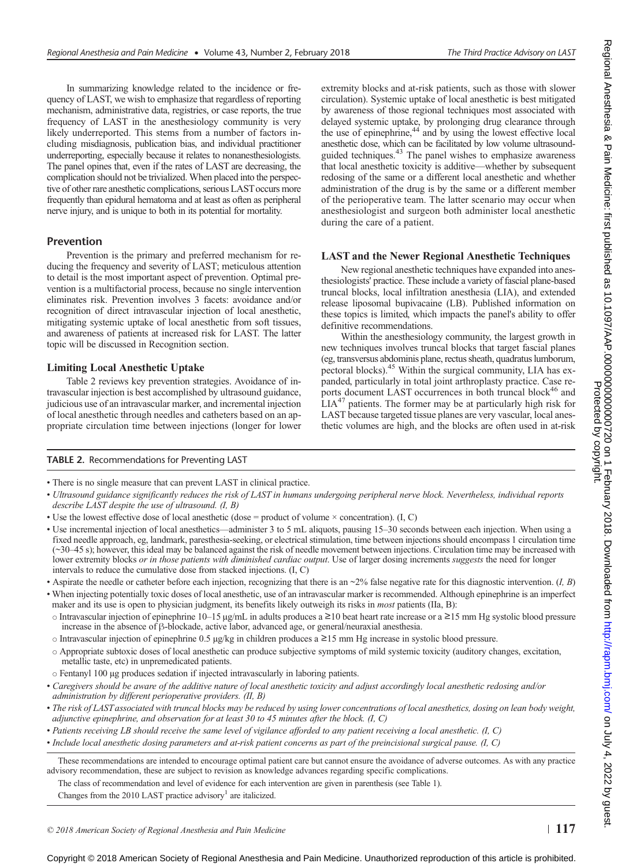In summarizing knowledge related to the incidence or frequency of LAST, we wish to emphasize that regardless of reporting mechanism, administrative data, registries, or case reports, the true frequency of LAST in the anesthesiology community is very likely underreported. This stems from a number of factors including misdiagnosis, publication bias, and individual practitioner underreporting, especially because it relates to nonanesthesiologists. The panel opines that, even if the rates of LAST are decreasing, the complication should not be trivialized. When placed into the perspective of other rare anesthetic complications, serious LASToccurs more frequently than epidural hematoma and at least as often as peripheral nerve injury, and is unique to both in its potential for mortality.

#### Prevention

Prevention is the primary and preferred mechanism for reducing the frequency and severity of LAST; meticulous attention to detail is the most important aspect of prevention. Optimal prevention is a multifactorial process, because no single intervention eliminates risk. Prevention involves 3 facets: avoidance and/or recognition of direct intravascular injection of local anesthetic, mitigating systemic uptake of local anesthetic from soft tissues, and awareness of patients at increased risk for LAST. The latter topic will be discussed in Recognition section.

#### Limiting Local Anesthetic Uptake

Table 2 reviews key prevention strategies. Avoidance of intravascular injection is best accomplished by ultrasound guidance, judicious use of an intravascular marker, and incremental injection of local anesthetic through needles and catheters based on an appropriate circulation time between injections (longer for lower extremity blocks and at-risk patients, such as those with slower circulation). Systemic uptake of local anesthetic is best mitigated by awareness of those regional techniques most associated with delayed systemic uptake, by prolonging drug clearance through the use of epinephrine,<sup>44</sup> and by using the lowest effective local anesthetic dose, which can be facilitated by low volume ultrasoundguided techniques.<sup>43</sup> The panel wishes to emphasize awareness that local anesthetic toxicity is additive—whether by subsequent redosing of the same or a different local anesthetic and whether administration of the drug is by the same or a different member of the perioperative team. The latter scenario may occur when anesthesiologist and surgeon both administer local anesthetic during the care of a patient.

#### LAST and the Newer Regional Anesthetic Techniques

New regional anesthetic techniques have expanded into anesthesiologists' practice. These include a variety of fascial plane-based truncal blocks, local infiltration anesthesia (LIA), and extended release liposomal bupivacaine (LB). Published information on these topics is limited, which impacts the panel's ability to offer definitive recommendations.

Within the anesthesiology community, the largest growth in new techniques involves truncal blocks that target fascial planes (eg, transversus abdominis plane, rectus sheath, quadratus lumborum, pectoral blocks).<sup>45</sup> Within the surgical community, LIA has expanded, particularly in total joint arthroplasty practice. Case reports document LAST occurrences in both truncal block<sup>46</sup> and LIA<sup>47</sup> patients. The former may be at particularly high risk for patients. The former may be at particularly high risk for LAST because targeted tissue planes are very vascular, local anesthetic volumes are high, and the blocks are often used in at-risk

#### TABLE 2. Recommendations for Preventing LAST

- There is no single measure that can prevent LAST in clinical practice.
- Ultrasound guidance significantly reduces the risk of LAST in humans undergoing peripheral nerve block. Nevertheless, individual reports describe LAST despite the use of ultrasound. (I, B)
- Use the lowest effective dose of local anesthetic (dose = product of volume  $\times$  concentration). (I, C)
- Use incremental injection of local anesthetics—administer 3 to 5 mL aliquots, pausing 15–30 seconds between each injection. When using a fixed needle approach, eg, landmark, paresthesia-seeking, or electrical stimulation, time between injections should encompass 1 circulation time (~30–45 s); however, this ideal may be balanced against the risk of needle movement between injections. Circulation time may be increased with lower extremity blocks or in those patients with diminished cardiac output. Use of larger dosing increments suggests the need for longer intervals to reduce the cumulative dose from stacked injections. (I, C)
- Aspirate the needle or catheter before each injection, recognizing that there is an  $\sim$ 2% false negative rate for this diagnostic intervention. (I, B)
- When injecting potentially toxic doses of local anesthetic, use of an intravascular marker is recommended. Although epinephrine is an imperfect maker and its use is open to physician judgment, its benefits likely outweigh its risks in *most* patients (IIa, B):
- o Intravascular injection of epinephrine 10–15 µg/mL in adults produces a ≥10 beat heart rate increase or a ≥15 mm Hg systolic blood pressure increase in the absence of β-blockade, active labor, advanced age, or general/neuraxial anesthesia.
- Intravascular injection of epinephrine 0.5 μg/kg in children produces a ≥15 mm Hg increase in systolic blood pressure.
- Appropriate subtoxic doses of local anesthetic can produce subjective symptoms of mild systemic toxicity (auditory changes, excitation, metallic taste, etc) in unpremedicated patients.
- Fentanyl 100 μg produces sedation if injected intravascularly in laboring patients.
- Caregivers should be aware of the additive nature of local anesthetic toxicity and adjust accordingly local anesthetic redosing and/or administration by different perioperative providers. (II, B)
- The risk of LAST associated with truncal blocks may be reduced by using lower concentrations of local anesthetics, dosing on lean body weight, adjunctive epinephrine, and observation for at least 30 to 45 minutes after the block. (I, C)
- Patients receiving LB should receive the same level of vigilance afforded to any patient receiving a local anesthetic. (I, C)
- Include local anesthetic dosing parameters and at-risk patient concerns as part of the preincisional surgical pause. (I, C)

These recommendations are intended to encourage optimal patient care but cannot ensure the avoidance of adverse outcomes. As with any practice advisory recommendation, these are subject to revision as knowledge advances regarding specific complications.

The class of recommendation and level of evidence for each intervention are given in parenthesis (see Table 1).

Changes from the 2010 LAST practice advisory<sup>1</sup> are italicized.

© 2018 American Society of Regional Anesthesia and Pain Medicine  $117$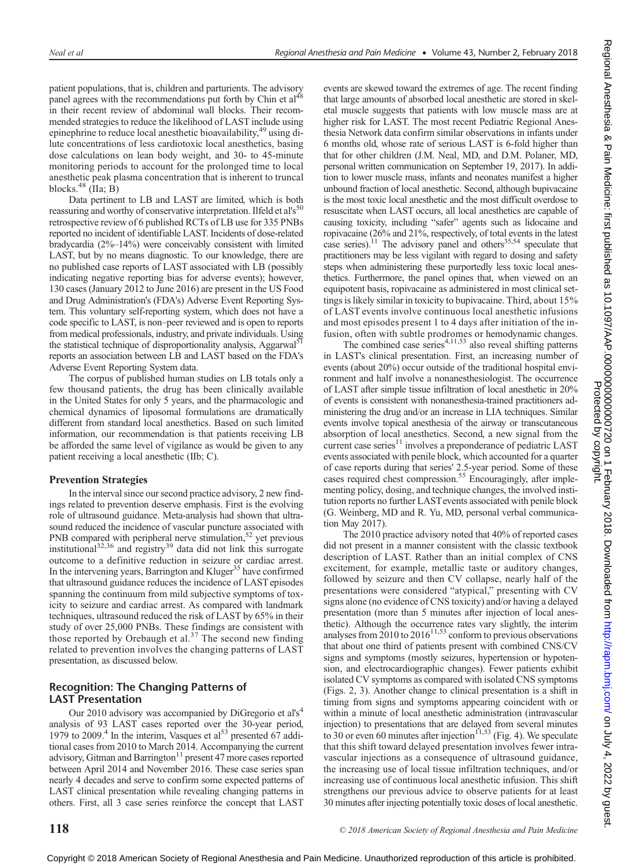patient populations, that is, children and parturients. The advisory panel agrees with the recommendations put forth by Chin et  $al<sup>48</sup>$ in their recent review of abdominal wall blocks. Their recommended strategies to reduce the likelihood of LAST include using epinephrine to reduce local anesthetic bioavailability,<sup>49</sup> using dilute concentrations of less cardiotoxic local anesthetics, basing dose calculations on lean body weight, and 30- to 45-minute monitoring periods to account for the prolonged time to local anesthetic peak plasma concentration that is inherent to truncal blocks. $48$  (IIa; B)

Data pertinent to LB and LAST are limited, which is both reassuring and worthy of conservative interpretation. Ilfeld et al's<sup>50</sup> retrospective review of 6 published RCTs of LB use for 335 PNBs reported no incident of identifiable LAST. Incidents of dose-related bradycardia (2%–14%) were conceivably consistent with limited LAST, but by no means diagnostic. To our knowledge, there are no published case reports of LAST associated with LB (possibly indicating negative reporting bias for adverse events); however, 130 cases (January 2012 to June 2016) are present in the US Food and Drug Administration's (FDA's) Adverse Event Reporting System. This voluntary self-reporting system, which does not have a code specific to LAST, is non–peer reviewed and is open to reports from medical professionals, industry, and private individuals. Using<br>the statistical technique of disproportionality analysis, Aggarwal<sup>51</sup> reports an association between LB and LAST based on the FDA's Adverse Event Reporting System data.

The corpus of published human studies on LB totals only a few thousand patients, the drug has been clinically available in the United States for only 5 years, and the pharmacologic and chemical dynamics of liposomal formulations are dramatically different from standard local anesthetics. Based on such limited information, our recommendation is that patients receiving LB be afforded the same level of vigilance as would be given to any patient receiving a local anesthetic (IIb; C).

#### Prevention Strategies

In the interval since our second practice advisory, 2 new findings related to prevention deserve emphasis. First is the evolving role of ultrasound guidance. Meta-analysis had shown that ultrasound reduced the incidence of vascular puncture associated with PNB compared with peripheral nerve stimulation, $52$  yet previous institutional<sup>32,36</sup> and registry<sup>39</sup> data did not link this surrogate outcome to a definitive reduction in seizure or cardiac arrest. In the intervening years, Barrington and Kluger<sup>35</sup> have confirmed that ultrasound guidance reduces the incidence of LAST episodes spanning the continuum from mild subjective symptoms of toxicity to seizure and cardiac arrest. As compared with landmark techniques, ultrasound reduced the risk of LAST by 65% in their study of over 25,000 PNBs. These findings are consistent with those reported by Orebaugh et al.<sup>37</sup> The second new finding related to prevention involves the changing patterns of LAST presentation, as discussed below.

# Recognition: The Changing Patterns of LAST Presentation

Our 2010 advisory was accompanied by DiGregorio et al's<sup>4</sup> analysis of 93 LAST cases reported over the 30-year period, 1979 to 2009.<sup>4</sup> In the interim, Vasques et al<sup>53</sup> presented 67 additional cases from 2010 to March 2014. Accompanying the current advisory, Gitman and Barrington<sup>11</sup> present 47 more cases reported between April 2014 and November 2016. These case series span nearly 4 decades and serve to confirm some expected patterns of LAST clinical presentation while revealing changing patterns in others. First, all 3 case series reinforce the concept that LAST

events are skewed toward the extremes of age. The recent finding that large amounts of absorbed local anesthetic are stored in skeletal muscle suggests that patients with low muscle mass are at higher risk for LAST. The most recent Pediatric Regional Anesthesia Network data confirm similar observations in infants under 6 months old, whose rate of serious LAST is 6-fold higher than that for other children (J.M. Neal, MD, and D.M. Polaner, MD, personal written communication on September 19, 2017). In addition to lower muscle mass, infants and neonates manifest a higher unbound fraction of local anesthetic. Second, although bupivacaine is the most toxic local anesthetic and the most difficult overdose to resuscitate when LAST occurs, all local anesthetics are capable of causing toxicity, including "safer" agents such as lidocaine and ropivacaine (26% and 21%, respectively, of total events in the latest case series).<sup>11</sup> The advisory panel and others<sup>35,54</sup> speculate that practitioners may be less vigilant with regard to dosing and safety steps when administering these purportedly less toxic local anesthetics. Furthermore, the panel opines that, when viewed on an equipotent basis, ropivacaine as administered in most clinical settings is likely similar in toxicity to bupivacaine. Third, about 15% of LAST events involve continuous local anesthetic infusions and most episodes present 1 to 4 days after initiation of the infusion, often with subtle prodromes or hemodynamic changes.

The combined case series $4,11,53$  also reveal shifting patterns in LAST's clinical presentation. First, an increasing number of events (about 20%) occur outside of the traditional hospital environment and half involve a nonanesthesiologist. The occurrence of LAST after simple tissue infiltration of local anesthetic in 20% of events is consistent with nonanesthesia-trained practitioners administering the drug and/or an increase in LIA techniques. Similar events involve topical anesthesia of the airway or transcutaneous absorption of local anesthetics. Second, a new signal from the current case series $11$  involves a preponderance of pediatric LAST events associated with penile block, which accounted for a quarter of case reports during that series' 2.5-year period. Some of these cases required chest compression.<sup>55</sup> Encouragingly, after implementing policy, dosing, and technique changes, the involved institution reports no further LASTevents associated with penile block (G. Weinberg, MD and R. Yu, MD, personal verbal communication May 2017).

The 2010 practice advisory noted that 40% of reported cases did not present in a manner consistent with the classic textbook description of LAST. Rather than an initial complex of CNS excitement, for example, metallic taste or auditory changes, followed by seizure and then CV collapse, nearly half of the presentations were considered "atypical," presenting with CV signs alone (no evidence of CNS toxicity) and/or having a delayed presentation (more than 5 minutes after injection of local anesthetic). Although the occurrence rates vary slightly, the interim analyses from  $2010$  to  $2016^{11,53}$  conform to previous observations that about one third of patients present with combined CNS/CV signs and symptoms (mostly seizures, hypertension or hypotension, and electrocardiographic changes). Fewer patients exhibit isolated CV symptoms as compared with isolated CNS symptoms (Figs. 2, 3). Another change to clinical presentation is a shift in timing from signs and symptoms appearing coincident with or within a minute of local anesthetic administration (intravascular injection) to presentations that are delayed from several minutes to 30 or even 60 minutes after injection<sup>11,53</sup> (Fig. 4). We speculate that this shift toward delayed presentation involves fewer intravascular injections as a consequence of ultrasound guidance, the increasing use of local tissue infiltration techniques, and/or increasing use of continuous local anesthetic infusion. This shift strengthens our previous advice to observe patients for at least 30 minutes after injecting potentially toxic doses of local anesthetic.

Copyright © 2018 American Society of Regional Anesthesia and Pain Medicine. Unauthorized reproduction of this article is prohibited.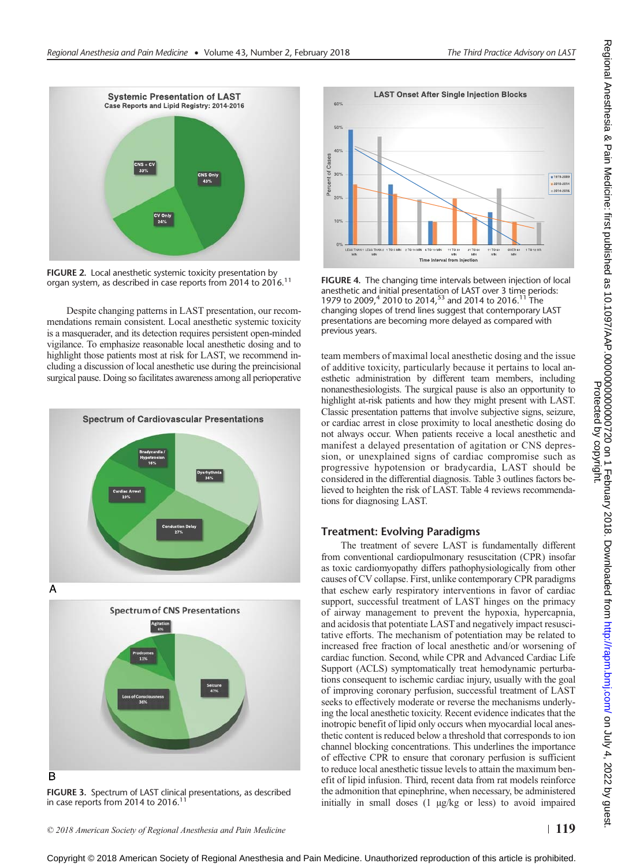

FIGURE 2. Local anesthetic systemic toxicity presentation by organ system, as described in case reports from 2014 to 2016.<sup>11</sup>

Despite changing patterns in LAST presentation, our recommendations remain consistent. Local anesthetic systemic toxicity is a masquerader, and its detection requires persistent open-minded vigilance. To emphasize reasonable local anesthetic dosing and to highlight those patients most at risk for LAST, we recommend including a discussion of local anesthetic use during the preincisional surgical pause. Doing so facilitates awareness among all perioperative



B

**FIGURE 3.** Spectrum of LAST clinical presentations, as described<br>in case reports from 2014 to 2016 <sup>11</sup> in case reports from 2014 to 2016.



FIGURE 4. The changing time intervals between injection of local anesthetic and initial presentation of LAST over 3 time periods: 1979 to 2009,<sup>4</sup> 2010 to 2014,<sup>53</sup> and 2014 to 2016.<sup>11</sup> The changing slopes of trend lines suggest that contemporary LAST presentations are becoming more delayed as compared with previous years.

team members of maximal local anesthetic dosing and the issue of additive toxicity, particularly because it pertains to local anesthetic administration by different team members, including nonanesthesiologists. The surgical pause is also an opportunity to highlight at-risk patients and how they might present with LAST. Classic presentation patterns that involve subjective signs, seizure, or cardiac arrest in close proximity to local anesthetic dosing do not always occur. When patients receive a local anesthetic and manifest a delayed presentation of agitation or CNS depression, or unexplained signs of cardiac compromise such as progressive hypotension or bradycardia, LAST should be considered in the differential diagnosis. Table 3 outlines factors believed to heighten the risk of LAST. Table 4 reviews recommendations for diagnosing LAST.

# Treatment: Evolving Paradigms

The treatment of severe LAST is fundamentally different from conventional cardiopulmonary resuscitation (CPR) insofar as toxic cardiomyopathy differs pathophysiologically from other causes of CV collapse. First, unlike contemporary CPR paradigms that eschew early respiratory interventions in favor of cardiac support, successful treatment of LAST hinges on the primacy of airway management to prevent the hypoxia, hypercapnia, and acidosis that potentiate LAST and negatively impact resuscitative efforts. The mechanism of potentiation may be related to increased free fraction of local anesthetic and/or worsening of cardiac function. Second, while CPR and Advanced Cardiac Life Support (ACLS) symptomatically treat hemodynamic perturbations consequent to ischemic cardiac injury, usually with the goal of improving coronary perfusion, successful treatment of LAST seeks to effectively moderate or reverse the mechanisms underlying the local anesthetic toxicity. Recent evidence indicates that the inotropic benefit of lipid only occurs when myocardial local anesthetic content is reduced below a threshold that corresponds to ion channel blocking concentrations. This underlines the importance of effective CPR to ensure that coronary perfusion is sufficient to reduce local anesthetic tissue levels to attain the maximum benefit of lipid infusion. Third, recent data from rat models reinforce the admonition that epinephrine, when necessary, be administered initially in small doses (1 μg/kg or less) to avoid impaired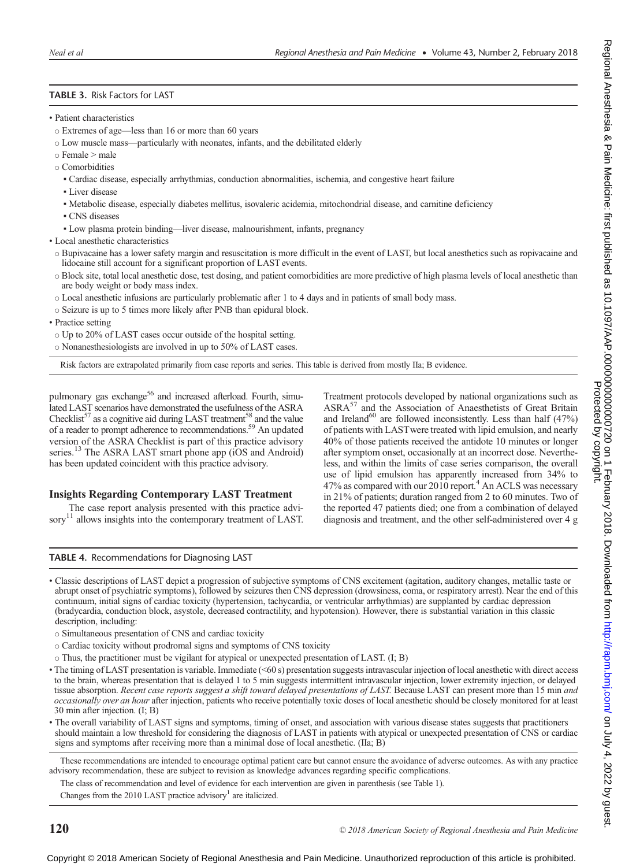#### TABLE 3. Risk Factors for LAST

- Patient characteristics
- Extremes of age—less than 16 or more than 60 years
- Low muscle mass—particularly with neonates, infants, and the debilitated elderly
- Female > male
- $\circ$  Comorbidities
	- Cardiac disease, especially arrhythmias, conduction abnormalities, ischemia, and congestive heart failure
	- **·** Liver disease
	- Metabolic disease, especially diabetes mellitus, isovaleric acidemia, mitochondrial disease, and carnitine deficiency
	- CNS diseases
	- Low plasma protein binding—liver disease, malnourishment, infants, pregnancy
- Local anesthetic characteristics
- Bupivacaine has a lower safety margin and resuscitation is more difficult in the event of LAST, but local anesthetics such as ropivacaine and lidocaine still account for a significant proportion of LAST events.
- Block site, total local anesthetic dose, test dosing, and patient comorbidities are more predictive of high plasma levels of local anesthetic than are body weight or body mass index.
- Local anesthetic infusions are particularly problematic after 1 to 4 days and in patients of small body mass.
- Seizure is up to 5 times more likely after PNB than epidural block.

• Practice setting

- o Up to 20% of LAST cases occur outside of the hospital setting.
- Nonanesthesiologists are involved in up to 50% of LAST cases.

Risk factors are extrapolated primarily from case reports and series. This table is derived from mostly IIa; B evidence.

pulmonary gas exchange<sup>56</sup> and increased afterload. Fourth, simulated LAST scenarios have demonstrated the usefulness of the ASRA Checklist<sup>57</sup> as a cognitive aid during LAST treatment<sup>58</sup> and the value of a reader to prompt adherence to recommendations.59 An updated version of the ASRA Checklist is part of this practice advisory series.<sup>13</sup> The ASRA LAST smart phone app (iOS and Android) has been updated coincident with this practice advisory.

#### Insights Regarding Contemporary LAST Treatment

The case report analysis presented with this practice advisory $11$  allows insights into the contemporary treatment of LAST. Treatment protocols developed by national organizations such as ASRA57 and the Association of Anaesthetists of Great Britain and Ireland<sup>60</sup> are followed inconsistently. Less than half  $(47%)$ of patients with LASTwere treated with lipid emulsion, and nearly 40% of those patients received the antidote 10 minutes or longer after symptom onset, occasionally at an incorrect dose. Nevertheless, and within the limits of case series comparison, the overall use of lipid emulsion has apparently increased from 34% to 47% as compared with our 2010 report.<sup>4</sup> An ACLS was necessary in 21% of patients; duration ranged from 2 to 60 minutes. Two of the reported 47 patients died; one from a combination of delayed diagnosis and treatment, and the other self-administered over 4 g

#### TABLE 4. Recommendations for Diagnosing LAST

- Classic descriptions of LAST depict a progression of subjective symptoms of CNS excitement (agitation, auditory changes, metallic taste or abrupt onset of psychiatric symptoms), followed by seizures then CNS depression (drowsiness, coma, or respiratory arrest). Near the end of this continuum, initial signs of cardiac toxicity (hypertension, tachycardia, or ventricular arrhythmias) are supplanted by cardiac depression (bradycardia, conduction block, asystole, decreased contractility, and hypotension). However, there is substantial variation in this classic description, including:
- Simultaneous presentation of CNS and cardiac toxicity
- Cardiac toxicity without prodromal signs and symptoms of CNS toxicity
- Thus, the practitioner must be vigilant for atypical or unexpected presentation of LAST. (I; B)
- The timing of LAST presentation is variable. Immediate (<60 s) presentation suggests intravascular injection of local anesthetic with direct access to the brain, whereas presentation that is delayed 1 to 5 min suggests intermittent intravascular injection, lower extremity injection, or delayed tissue absorption. Recent case reports suggest a shift toward delayed presentations of LAST. Because LAST can present more than 15 min and occasionally over an hour after injection, patients who receive potentially toxic doses of local anesthetic should be closely monitored for at least 30 min after injection. (I; B)
- The overall variability of LAST signs and symptoms, timing of onset, and association with various disease states suggests that practitioners should maintain a low threshold for considering the diagnosis of LAST in patients with atypical or unexpected presentation of CNS or cardiac signs and symptoms after receiving more than a minimal dose of local anesthetic. (IIa; B)

These recommendations are intended to encourage optimal patient care but cannot ensure the avoidance of adverse outcomes. As with any practice advisory recommendation, these are subject to revision as knowledge advances regarding specific complications.

The class of recommendation and level of evidence for each intervention are given in parenthesis (see Table 1).

Changes from the 2010 LAST practice advisory<sup>1</sup> are italicized.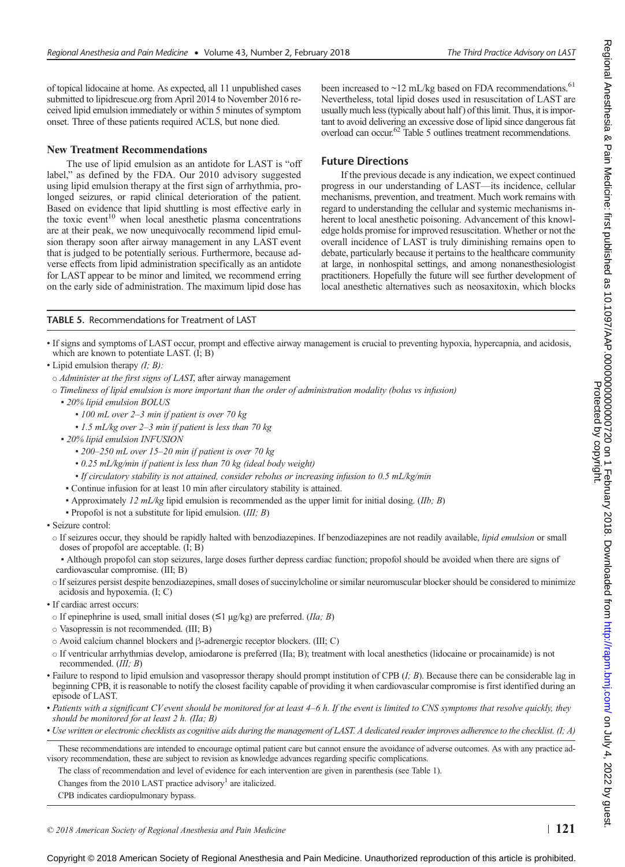of topical lidocaine at home. As expected, all 11 unpublished cases submitted to lipidrescue.org from April 2014 to November 2016 received lipid emulsion immediately or within 5 minutes of symptom onset. Three of these patients required ACLS, but none died.

# New Treatment Recommendations

The use of lipid emulsion as an antidote for LAST is "off label," as defined by the FDA. Our 2010 advisory suggested using lipid emulsion therapy at the first sign of arrhythmia, prolonged seizures, or rapid clinical deterioration of the patient. Based on evidence that lipid shuttling is most effective early in the toxic event<sup>10</sup> when local anesthetic plasma concentrations are at their peak, we now unequivocally recommend lipid emulsion therapy soon after airway management in any LAST event that is judged to be potentially serious. Furthermore, because adverse effects from lipid administration specifically as an antidote for LAST appear to be minor and limited, we recommend erring on the early side of administration. The maximum lipid dose has been increased to ~12 mL/kg based on FDA recommendations.<sup>61</sup> Nevertheless, total lipid doses used in resuscitation of LAST are usually much less (typically about half ) of this limit. Thus, it is important to avoid delivering an excessive dose of lipid since dangerous fat overload can occur.<sup>62</sup> Table 5 outlines treatment recommendations.

# Future Directions

If the previous decade is any indication, we expect continued progress in our understanding of LAST—its incidence, cellular mechanisms, prevention, and treatment. Much work remains with regard to understanding the cellular and systemic mechanisms inherent to local anesthetic poisoning. Advancement of this knowledge holds promise for improved resuscitation. Whether or not the overall incidence of LAST is truly diminishing remains open to debate, particularly because it pertains to the healthcare community at large, in nonhospital settings, and among nonanesthesiologist practitioners. Hopefully the future will see further development of local anesthetic alternatives such as neosaxitoxin, which blocks

TABLE 5. Recommendations for Treatment of LAST

• If signs and symptoms of LAST occur, prompt and effective airway management is crucial to preventing hypoxia, hypercapnia, and acidosis, which are known to potentiate LAST. (I; B)

- Lipid emulsion therapy  $(I; B)$ :
- Administer at the first signs of LAST, after airway management
- Timeliness of lipid emulsion is more important than the order of administration modality (bolus vs infusion)
	- 20% lipid emulsion BOLUS
		- 100 mL over 2-3 min if patient is over 70 kg
		- 1.5 mL/kg over 2-3 min if patient is less than 70 kg
	- 20% lipid emulsion INFUSION
		- 200–250 mL over 15–20 min if patient is over 70 kg
		- 0.25 mL/kg/min if patient is less than 70 kg (ideal body weight)
		- If circulatory stability is not attained, consider rebolus or increasing infusion to 0.5 mL/kg/min
	- Continue infusion for at least 10 min after circulatory stability is attained.
	- Approximately 12 mL/kg lipid emulsion is recommended as the upper limit for initial dosing. (IIb; B)
	- **Propofol is not a substitute for lipid emulsion.**  $(III; B)$
- Seizure control:

o If seizures occur, they should be rapidly halted with benzodiazepines. If benzodiazepines are not readily available, lipid emulsion or small doses of propofol are acceptable. (I; B)

▪ Although propofol can stop seizures, large doses further depress cardiac function; propofol should be avoided when there are signs of cardiovascular compromise. (III; B)

○ If seizures persist despite benzodiazepines, small doses of succinylcholine or similar neuromuscular blocker should be considered to minimize acidosis and hypoxemia. (I; C)

- If cardiac arrest occurs:
- $\circ$  If epinephrine is used, small initial doses ( $\leq$ 1 µg/kg) are preferred. (*IIa*; *B*)
- Vasopressin is not recommended. (III; B)
- Avoid calcium channel blockers and β-adrenergic receptor blockers. (III; C)
- If ventricular arrhythmias develop, amiodarone is preferred (IIa; B); treatment with local anesthetics (lidocaine or procainamide) is not recommended. (III; B)
- Failure to respond to lipid emulsion and vasopressor therapy should prompt institution of CPB (I; B). Because there can be considerable lag in beginning CPB, it is reasonable to notify the closest facility capable of providing it when cardiovascular compromise is first identified during an episode of LAST.
- Patients with a significant CV event should be monitored for at least 4–6 h. If the event is limited to CNS symptoms that resolve quickly, they should be monitored for at least 2 h. (IIa; B)
- Use written or electronic checklists as cognitive aids during the management of LAST. A dedicated reader improves adherence to the checklist. (I; A)

These recommendations are intended to encourage optimal patient care but cannot ensure the avoidance of adverse outcomes. As with any practice advisory recommendation, these are subject to revision as knowledge advances regarding specific complications.

The class of recommendation and level of evidence for each intervention are given in parenthesis (see Table 1).

Changes from the 2010 LAST practice advisory<sup>1</sup> are italicized.

CPB indicates cardiopulmonary bypass.

© 2018 American Society of Regional Anesthesia and Pain Medicine  $1\,121$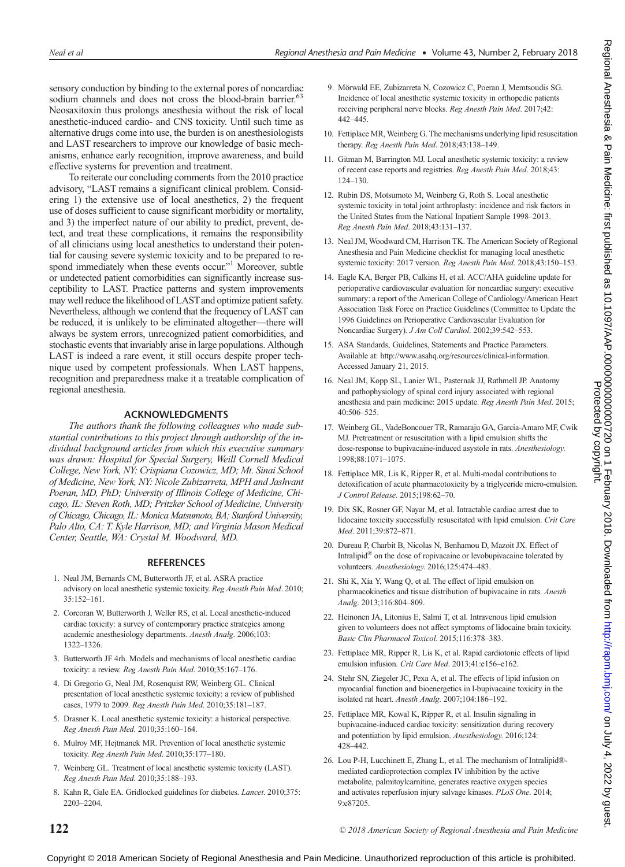sensory conduction by binding to the external pores of noncardiac sodium channels and does not cross the blood-brain barrier.<sup>63</sup> Neosaxitoxin thus prolongs anesthesia without the risk of local anesthetic-induced cardio- and CNS toxicity. Until such time as alternative drugs come into use, the burden is on anesthesiologists and LAST researchers to improve our knowledge of basic mechanisms, enhance early recognition, improve awareness, and build effective systems for prevention and treatment.

To reiterate our concluding comments from the 2010 practice advisory, "LAST remains a significant clinical problem. Considering 1) the extensive use of local anesthetics, 2) the frequent use of doses sufficient to cause significant morbidity or mortality, and 3) the imperfect nature of our ability to predict, prevent, detect, and treat these complications, it remains the responsibility of all clinicians using local anesthetics to understand their potential for causing severe systemic toxicity and to be prepared to respond immediately when these events occur."<sup>1</sup> Moreover, subtle or undetected patient comorbidities can significantly increase susceptibility to LAST. Practice patterns and system improvements may well reduce the likelihood of LASTand optimize patient safety. Nevertheless, although we contend that the frequency of LAST can be reduced, it is unlikely to be eliminated altogether—there will always be system errors, unrecognized patient comorbidities, and stochastic events that invariably arise in large populations. Although LAST is indeed a rare event, it still occurs despite proper technique used by competent professionals. When LAST happens, recognition and preparedness make it a treatable complication of regional anesthesia.

#### ACKNOWLEDGMENTS

The authors thank the following colleagues who made substantial contributions to this project through authorship of the individual background articles from which this executive summary was drawn: Hospital for Special Surgery, Weill Cornell Medical College, New York, NY: Crispiana Cozowicz, MD; Mt. Sinai School of Medicine, New York, NY: Nicole Zubizarreta, MPH and Jashvant Poeran, MD, PhD; University of Illinois College of Medicine, Chicago, IL: Steven Roth, MD; Pritzker School of Medicine, University of Chicago, Chicago, IL: Monica Matsumoto, BA; Stanford University, Palo Alto, CA: T. Kyle Harrison, MD; and Virginia Mason Medical Center, Seattle, WA: Crystal M. Woodward, MD.

#### REFERENCES

- 1. Neal JM, Bernards CM, Butterworth JF, et al. ASRA practice advisory on local anesthetic systemic toxicity. Reg Anesth Pain Med. 2010; 35:152–161.
- 2. Corcoran W, Butterworth J, Weller RS, et al. Local anesthetic-induced cardiac toxicity: a survey of contemporary practice strategies among academic anesthesiology departments. Anesth Analg. 2006;103: 1322–1326.
- 3. Butterworth JF 4rh. Models and mechanisms of local anesthetic cardiac toxicity: a review. Reg Anesth Pain Med. 2010;35:167–176.
- 4. Di Gregorio G, Neal JM, Rosenquist RW, Weinberg GL. Clinical presentation of local anesthetic systemic toxicity: a review of published cases, 1979 to 2009. Reg Anesth Pain Med. 2010;35:181-187.
- 5. Drasner K. Local anesthetic systemic toxicity: a historical perspective. Reg Anesth Pain Med. 2010;35:160–164.
- 6. Mulroy MF, Hejtmanek MR. Prevention of local anesthetic systemic toxicity. Reg Anesth Pain Med. 2010;35:177–180.
- 7. Weinberg GL. Treatment of local anesthetic systemic toxicity (LAST). Reg Anesth Pain Med. 2010;35:188–193.
- 8. Kahn R, Gale EA. Gridlocked guidelines for diabetes. Lancet. 2010;375: 2203–2204.
- 9. Mörwald EE, Zubizarreta N, Cozowicz C, Poeran J, Memtsoudis SG. Incidence of local anesthetic systemic toxicity in orthopedic patients receiving peripheral nerve blocks. Reg Anesth Pain Med. 2017;42: 442–445.
- 10. Fettiplace MR, Weinberg G. The mechanisms underlying lipid resuscitation therapy. Reg Anesth Pain Med. 2018;43:138–149.
- 11. Gitman M, Barrington MJ. Local anesthetic systemic toxicity: a review of recent case reports and registries. Reg Anesth Pain Med. 2018;43: 124–130.
- 12. Rubin DS, Motsumoto M, Weinberg G, Roth S. Local anesthetic systemic toxicity in total joint arthroplasty: incidence and risk factors in the United States from the National Inpatient Sample 1998–2013. Reg Anesth Pain Med. 2018;43:131–137.
- 13. Neal JM, Woodward CM, Harrison TK. The American Society of Regional Anesthesia and Pain Medicine checklist for managing local anesthetic systemic toxicity: 2017 version. Reg Anesth Pain Med. 2018;43:150–153.
- 14. Eagle KA, Berger PB, Calkins H, et al. ACC/AHA guideline update for perioperative cardiovascular evaluation for noncardiac surgery: executive summary: a report of the American College of Cardiology/American Heart Association Task Force on Practice Guidelines (Committee to Update the 1996 Guidelines on Perioperative Cardiovascular Evaluation for Noncardiac Surgery). J Am Coll Cardiol. 2002;39:542–553.
- 15. ASA Standards, Guidelines, Statements and Practice Parameters. Available at:<http://www.asahq.org/resources/clinical-information>. Accessed January 21, 2015.
- 16. Neal JM, Kopp SL, Lanier WL, Pasternak JJ, Rathmell JP. Anatomy and pathophysiology of spinal cord injury associated with regional anesthesia and pain medicine: 2015 update. Reg Anesth Pain Med. 2015; 40:506–525.
- 17. Weinberg GL, VadeBoncouer TR, Ramaraju GA, Garcia-Amaro MF, Cwik MJ. Pretreatment or resuscitation with a lipid emulsion shifts the dose-response to bupivacaine-induced asystole in rats. Anesthesiology. 1998;88:1071–1075.
- 18. Fettiplace MR, Lis K, Ripper R, et al. Multi-modal contributions to detoxification of acute pharmacotoxicity by a triglyceride micro-emulsion. J Control Release. 2015;198:62–70.
- 19. Dix SK, Rosner GF, Nayar M, et al. Intractable cardiac arrest due to lidocaine toxicity successfully resuscitated with lipid emulsion. Crit Care Med. 2011;39:872–871.
- 20. Dureau P, Charbit B, Nicolas N, Benhamou D, Mazoit JX. Effect of Intralipid® on the dose of ropivacaine or levobupivacaine tolerated by volunteers. Anesthesiology. 2016;125:474–483.
- 21. Shi K, Xia Y, Wang Q, et al. The effect of lipid emulsion on pharmacokinetics and tissue distribution of bupivacaine in rats. Anesth Analg. 2013;116:804–809.
- 22. Heinonen JA, Litonius E, Salmi T, et al. Intravenous lipid emulsion given to volunteers does not affect symptoms of lidocaine brain toxicity. Basic Clin Pharmacol Toxicol. 2015;116:378–383.
- 23. Fettiplace MR, Ripper R, Lis K, et al. Rapid cardiotonic effects of lipid emulsion infusion. Crit Care Med. 2013;41:e156–e162.
- 24. Stehr SN, Ziegeler JC, Pexa A, et al. The effects of lipid infusion on myocardial function and bioenergetics in l-bupivacaine toxicity in the isolated rat heart. Anesth Analg. 2007;104:186–192.
- 25. Fettiplace MR, Kowal K, Ripper R, et al. Insulin signaling in bupivacaine-induced cardiac toxicity: sensitization during recovery and potentiation by lipid emulsion. Anesthesiology. 2016;124: 428–442.
- 26. Lou P-H, Lucchinett E, Zhang L, et al. The mechanism of Intralipid® mediated cardioprotection complex IV inhibition by the active metabolite, palmitoylcarnitine, generates reactive oxygen species and activates reperfusion injury salvage kinases. PLoS One. 2014; 9:e87205.

**122**  $\degree$  2018 American Society of Regional Anesthesia and Pain Medicine